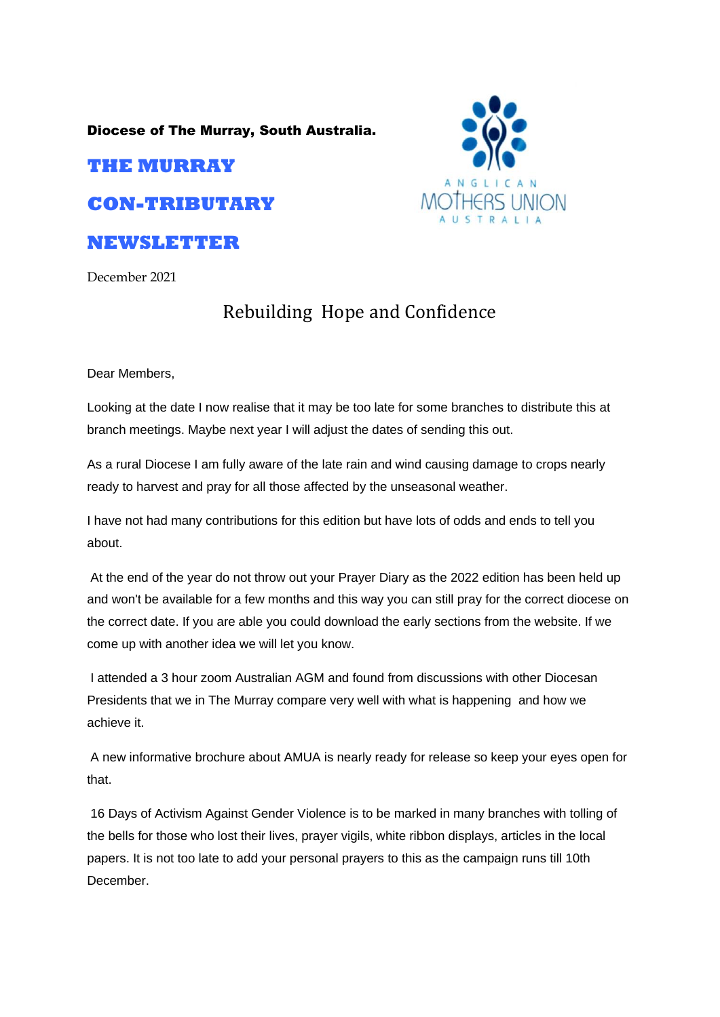Diocese of The Murray, South Australia.

## **THE MURRAY**

**CON-TRIBUTARY** 

## **NEWSLETTER**

December 2021

## Rebuilding Hope and Confidence

Dear Members,

Looking at the date I now realise that it may be too late for some branches to distribute this at branch meetings. Maybe next year I will adjust the dates of sending this out.

As a rural Diocese I am fully aware of the late rain and wind causing damage to crops nearly ready to harvest and pray for all those affected by the unseasonal weather.

I have not had many contributions for this edition but have lots of odds and ends to tell you about.

At the end of the year do not throw out your Prayer Diary as the 2022 edition has been held up and won't be available for a few months and this way you can still pray for the correct diocese on the correct date. If you are able you could download the early sections from the website. If we come up with another idea we will let you know.

I attended a 3 hour zoom Australian AGM and found from discussions with other Diocesan Presidents that we in The Murray compare very well with what is happening and how we achieve it.

A new informative brochure about AMUA is nearly ready for release so keep your eyes open for that.

16 Days of Activism Against Gender Violence is to be marked in many branches with tolling of the bells for those who lost their lives, prayer vigils, white ribbon displays, articles in the local papers. It is not too late to add your personal prayers to this as the campaign runs till 10th December.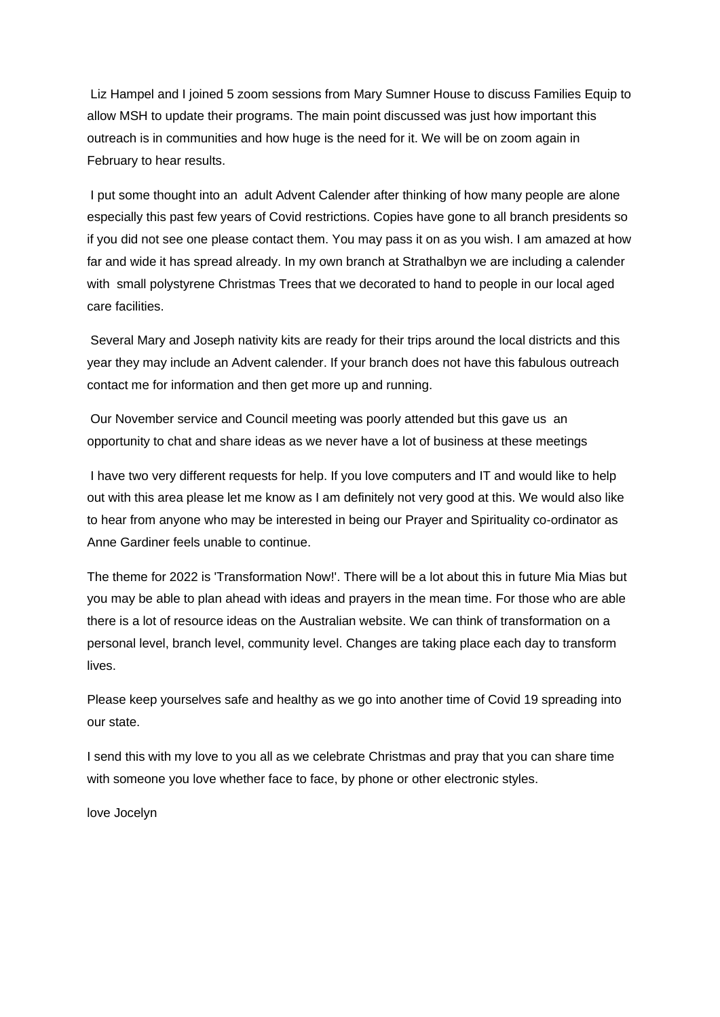Liz Hampel and I joined 5 zoom sessions from Mary Sumner House to discuss Families Equip to allow MSH to update their programs. The main point discussed was just how important this outreach is in communities and how huge is the need for it. We will be on zoom again in February to hear results.

I put some thought into an adult Advent Calender after thinking of how many people are alone especially this past few years of Covid restrictions. Copies have gone to all branch presidents so if you did not see one please contact them. You may pass it on as you wish. I am amazed at how far and wide it has spread already. In my own branch at Strathalbyn we are including a calender with small polystyrene Christmas Trees that we decorated to hand to people in our local aged care facilities.

Several Mary and Joseph nativity kits are ready for their trips around the local districts and this year they may include an Advent calender. If your branch does not have this fabulous outreach contact me for information and then get more up and running.

Our November service and Council meeting was poorly attended but this gave us an opportunity to chat and share ideas as we never have a lot of business at these meetings

I have two very different requests for help. If you love computers and IT and would like to help out with this area please let me know as I am definitely not very good at this. We would also like to hear from anyone who may be interested in being our Prayer and Spirituality co-ordinator as Anne Gardiner feels unable to continue.

The theme for 2022 is 'Transformation Now!'. There will be a lot about this in future Mia Mias but you may be able to plan ahead with ideas and prayers in the mean time. For those who are able there is a lot of resource ideas on the Australian website. We can think of transformation on a personal level, branch level, community level. Changes are taking place each day to transform lives.

Please keep yourselves safe and healthy as we go into another time of Covid 19 spreading into our state.

I send this with my love to you all as we celebrate Christmas and pray that you can share time with someone you love whether face to face, by phone or other electronic styles.

love Jocelyn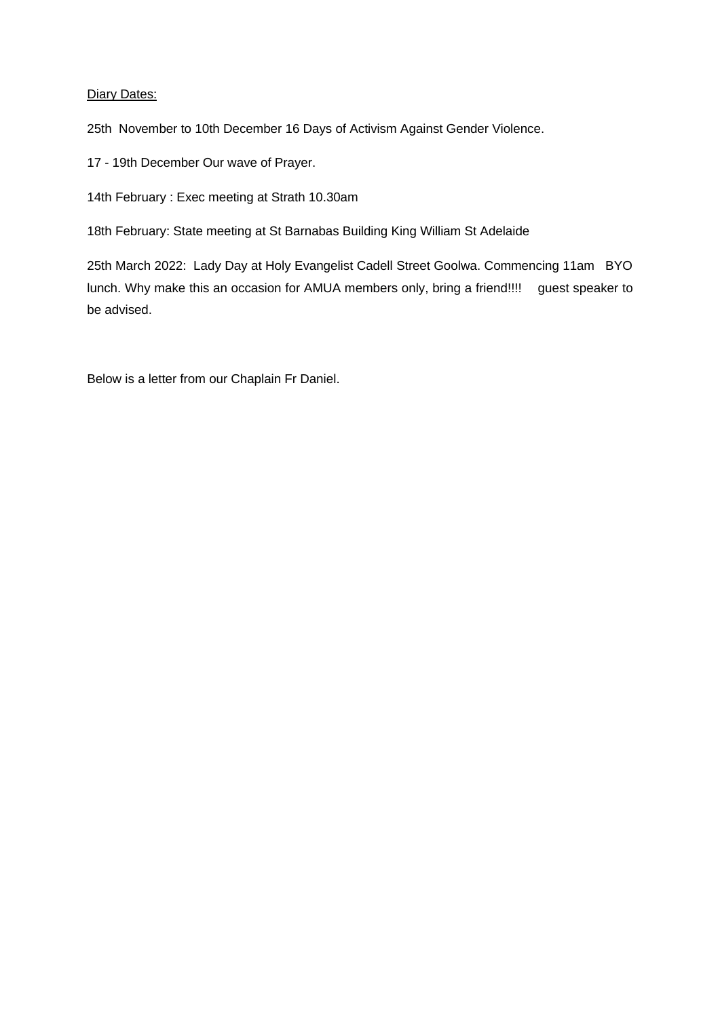## Diary Dates:

25th November to 10th December 16 Days of Activism Against Gender Violence.

17 - 19th December Our wave of Prayer.

14th February : Exec meeting at Strath 10.30am

18th February: State meeting at St Barnabas Building King William St Adelaide

25th March 2022: Lady Day at Holy Evangelist Cadell Street Goolwa. Commencing 11am BYO lunch. Why make this an occasion for AMUA members only, bring a friend!!!! guest speaker to be advised.

Below is a letter from our Chaplain Fr Daniel.